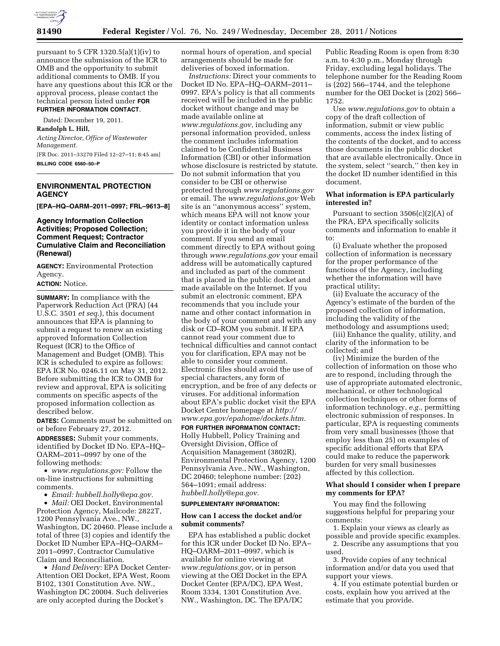

pursuant to  $5$  CFR 1320.5(a)(1)(iv) to announce the submission of the ICR to OMB and the opportunity to submit additional comments to OMB. If you have any questions about this ICR or the approval process, please contact the technical person listed under **FOR FURTHER INFORMATION CONTACT**.

Dated: December 19, 2011.

**Randolph L. Hill,** 

*Acting Director, Office of Wastewater Management.*  [FR Doc. 2011–33270 Filed 12–27–11; 8:45 am]

**BILLING CODE 6560–50–P** 

## **ENVIRONMENTAL PROTECTION AGENCY**

**[EPA–HQ–OARM–2011–0997; FRL–9613–8]** 

## **Agency Information Collection Activities; Proposed Collection; Comment Request; Contractor Cumulative Claim and Reconciliation (Renewal)**

**AGENCY:** Environmental Protection Agency.

### **ACTION:** Notice.

**SUMMARY:** In compliance with the Paperwork Reduction Act (PRA) (44 U.S.C. 3501 *et seq.*), this document announces that EPA is planning to submit a request to renew an existing approved Information Collection Request (ICR) to the Office of Management and Budget (OMB). This ICR is scheduled to expire as follows: EPA ICR No. 0246.11 on May 31, 2012. Before submitting the ICR to OMB for review and approval, EPA is soliciting comments on specific aspects of the proposed information collection as described below.

**DATES:** Comments must be submitted on or before February 27, 2012.

**ADDRESSES:** Submit your comments, identified by Docket ID No. EPA–HQ– OARM–2011–0997 by one of the following methods:

• *[www.regulations.gov:](http://www.regulations.gov)* Follow the on-line instructions for submitting comments.

• *Email: [hubbell.holly@epa.gov.](mailto:hubbell.holly@epa.gov)* 

• *Mail:* OEI Docket, Environmental Protection Agency, Mailcode: 2822T, 1200 Pennsylvania Ave., NW., Washington, DC 20460. Please include a total of three (3) copies and identify the Docket ID Number EPA–HQ–OARM– 2011–0997, Contractor Cumulative Claim and Reconciliation.

• *Hand Delivery:* EPA Docket Center-Attention OEI Docket, EPA West, Room B102, 1301 Constitution Ave. NW., Washington DC 20004. Such deliveries are only accepted during the Docket's

normal hours of operation, and special arrangements should be made for deliveries of boxed information.

*Instructions:* Direct your comments to Docket ID No. EPA–HQ–OARM–2011– 0997. EPA's policy is that all comments received will be included in the public docket without change and may be made available online at *[www.regulations.gov](http://www.regulations.gov)*, including any personal information provided, unless the comment includes information claimed to be Confidential Business Information (CBI) or other information whose disclosure is restricted by statute. Do not submit information that you consider to be CBI or otherwise protected through *[www.regulations.gov](http://www.regulations.gov)*  or email. The *[www.regulations.gov](http://www.regulations.gov)* Web site is an ''anonymous access'' system, which means EPA will not know your identity or contact information unless you provide it in the body of your comment. If you send an email comment directly to EPA without going through *[www.regulations.gov](http://www.regulations.gov)* your email address will be automatically captured and included as part of the comment that is placed in the public docket and made available on the Internet. If you submit an electronic comment, EPA recommends that you include your name and other contact information in the body of your comment and with any disk or CD–ROM you submit. If EPA cannot read your comment due to technical difficulties and cannot contact you for clarification, EPA may not be able to consider your comment. Electronic files should avoid the use of special characters, any form of encryption, and be free of any defects or viruses. For additional information about EPA's public docket visit the EPA Docket Center homepage at *[http://](http://www.epa.gov/epahome/dockets.htm) [www.epa.gov/epahome/dockets.htm.](http://www.epa.gov/epahome/dockets.htm)* 

**FOR FURTHER INFORMATION CONTACT:**  Holly Hubbell, Policy Training and Oversight Division, Office of Acquisition Management (3802R), Environmental Protection Agency, 1200 Pennsylvania Ave., NW., Washington, DC 20460; telephone number: (202) 564–1091; email address: *[hubbell.holly@epa.gov.](mailto:hubbell.holly@epa.gov)* 

#### **SUPPLEMENTARY INFORMATION:**

#### **How can I access the docket and/or submit comments?**

EPA has established a public docket for this ICR under Docket ID No. EPA– HQ–OARM–2011–0997, which is available for online viewing at *[www.regulations.gov](http://www.regulations.gov)*, or in person viewing at the OEI Docket in the EPA Docket Center (EPA/DC), EPA West, Room 3334, 1301 Constitution Ave. NW., Washington, DC. The EPA/DC

Public Reading Room is open from 8:30 a.m. to 4:30 p.m., Monday through Friday, excluding legal holidays. The telephone number for the Reading Room is (202) 566–1744, and the telephone number for the OEI Docket is (202) 566– 1752.

Use *[www.regulations.gov](http://www.regulations.gov)* to obtain a copy of the draft collection of information, submit or view public comments, access the index listing of the contents of the docket, and to access those documents in the public docket that are available electronically. Once in the system, select ''search,'' then key in the docket ID number identified in this document.

## **What information is EPA particularly interested in?**

Pursuant to section  $3506(c)(2)(A)$  of the PRA, EPA specifically solicits comments and information to enable it to:

(i) Evaluate whether the proposed collection of information is necessary for the proper performance of the functions of the Agency, including whether the information will have practical utility;

(ii) Evaluate the accuracy of the Agency's estimate of the burden of the proposed collection of information, including the validity of the methodology and assumptions used;

(iii) Enhance the quality, utility, and clarity of the information to be collected; and

(iv) Minimize the burden of the collection of information on those who are to respond, including through the use of appropriate automated electronic, mechanical, or other technological collection techniques or other forms of information technology, *e.g.,* permitting electronic submission of responses. In particular, EPA is requesting comments from very small businesses (those that employ less than 25) on examples of specific additional efforts that EPA could make to reduce the paperwork burden for very small businesses affected by this collection.

## **What should I consider when I prepare my comments for EPA?**

You may find the following suggestions helpful for preparing your comments:

1. Explain your views as clearly as possible and provide specific examples.

2. Describe any assumptions that you used.

3. Provide copies of any technical information and/or data you used that support your views.

4. If you estimate potential burden or costs, explain how you arrived at the estimate that you provide.